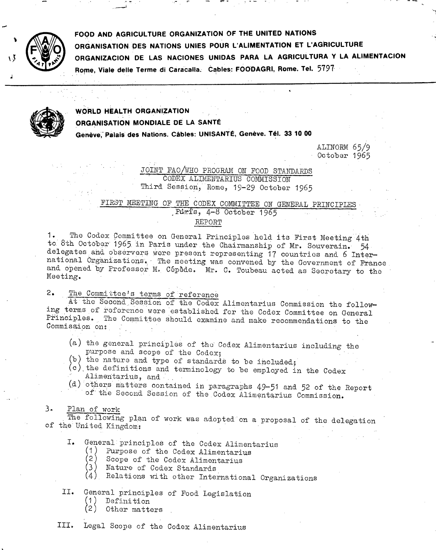

**FOOD AND AGRICULTURE ORGANIZATION OF THE UNITED NATIONS ORGANISATION DES NATIONS UNIES POUR L'ALIMENTATION ET L'AGRICULTURE ORGANIZACION DE LAS NACIONES UNIDAS PARA LA AGRICULTURA Y LA ALIMENTACION Rome, Viale delle Terme di Caracalla. Cables: FOODAGRI, Rome. Tel.** 5797



# **WORLD HEALTH ORGANIZATION ORGANISATION MONDIALE DE LA SANTe**

**Genève, -Palais des Nations. Câbles: UNISANTe, Genève. Tél. 33 10 00** 

ALINORM 65/9 October 1965

JOINT FAO/WHO PROGRAM ON FOOD STANDARDS CODEX ALIMENTARIUS COMMISSION

Third Session, Rome, 19-29 October 1965

FIRST MEETING OF THE CODEX COMMITTEE ON GENERAL PRINCIPLES

Puris, 4-8 October 1965 REPORT

1. The Codex Committee on General Principles held its First Meeting 4th<br>to 8th October 1965 in Paris under the Chairmanship of Mr. Souverain. 54 1. delegates and observers were present representing  $\overline{17}$  countries and 6 Inter-<br>national Organizations. The meeting was convened by the Government of France<br>and opened by Professor M. Cépède. Mr. C. Toubeau acted as Se

 $2.$ 

The Committee's terms of reference<br>At the Second Session of the Codex Alimentarius Commission the following terms of reference were established for the Codex Committee on General Principles. The Committee should examine and make recommendations to the Commission on:

(a) the general principles of the Codex Alimentarius including the purpose and scope of the Codex;

- (b) the nature and type of standards to be included;
- (c ) ,the definitions and terminology to be employed in the Codex
- Alimentarius, and<br>(d) others matters contained in paragraphs 49-51 and 52 of the Report of the Second Session of the Codex Alimentarius Commission.

#### 3. Plan of work

The following plan of work was adopted on a proposal of the delegation of the United Kingdom:

- I. General principles of the Codex Alimentarius
	- (1) Purpose of the Codex Alimentarius
	- Scope of the Codex Alimentarius
	- 3) Nature of Codex Standards
	- $(4)$  Relations with other International Organizations
- II. General principles of Food Legislation
	- (1) Definition<br>(2) Other matte
	- Other matters

III. Legal Scope of the Codex Alimentarius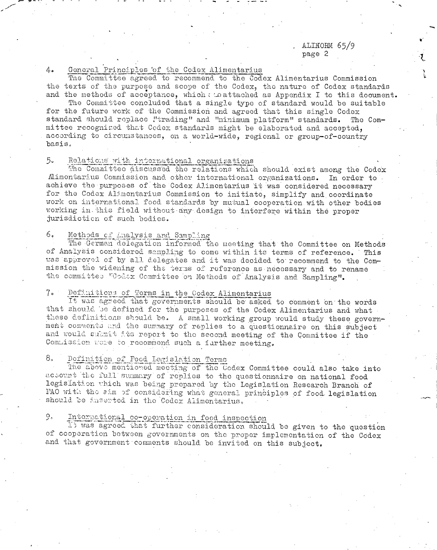. ALINORM 65/9 page 2

#### General Principles of the Codex Alimentarius  $4.$

The Committee agreed to recommend to the Codex Alimentarius Commission the texts of the purpose and scope of the Codex, the nature of Codex standards and the methods of acceptance, which  $\epsilon$  attached as Appendix I to this document.

The Committee concluded that a single type of standard would be suitable for the future work of the Commission and agreed that this single Codex standard should replace "trading" and "minimum platform" standards. The Committee recognized that Codex standards might be elaborated and accepted, according to circumstances, on a world-wide, regional or group-of-country basis,

#### Relations' with international organizations  $5.5$

The Committee discussed the relations which should exist among the Codex Alimentarius Commission and other international organizations. In order to achieve the purposes of the Codex Alimentarius it was considered necessary for the Codex Alimentarius Commission to initiate, simplify and coordinate work on international food standards by mutual cooperation with other bodies working in- this field without-anydesign to interfere within the proper jurisdiction of such bodies.

## 6. Methods of Analysis and Sampling

The German delegation informed the meeting that the Committee on Methods of Analysis considered sampling to come within its terms of reference. This was approvel of by all delegates and it was decided to recommend to the Commission the widening of the terms of reference as necessary and to rename the committee "Codax Committee on Methods of Analysis and Sampling".

### 7. Definitions of Terms in the Codex Alimentarius

It was agreed that governments should be asked to comment on the words that should be defined for the purposes of the Codex Alimentarius and what these definitions should be. A small working group would study these government comments and the summary of replies to a questionnaire on this subject and would submit its report to the second meeting of the Committee if the Commission were to recommend such a farther meeting.

#### Definition of Food Legislation Terms  $8.5$

The above mentioned meeting of the Codex Committee could also take into account the full summary of replies to the questionnaire on national food legislation which was being prepared by the Legislation Research Branch of PAO with the aim of considering what general principles of food legislation should be inserted in the Codex Alimentarius.

# 9. International co-operation in food inspection

It was agreed that further consideration should be given to the question of cooperation between governments on the proper implementation of the COdex and that government comments should be invited on this subject.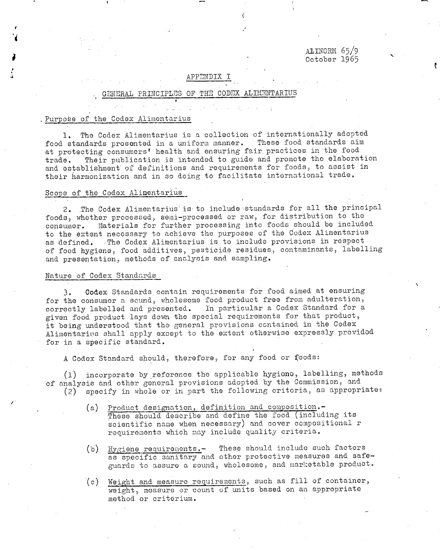## ALINORM 65/9 October 1965

#### APPENDIX I

### GENERAL PRINCIPLES OF THE CODEX ALIMENTARIUS

### , Purpose of the Codex Alimentarius

1. The Codex Alimentarius is a collection of internationally adopted<br>standards prosented in a uniform manner. These food standards aim food standards presented in a uniform manner. at protecting consumers' health and ensuring fair. practices in 'the food trade. Their publication is intended to guide and promote the elaboration and establishment' of definitions and requirements for foods, to assist in their harmonization and in so doing to facilitate international trade.

## Scope of the Codex Alimentarius

2. The Codex Alimentarius is to include standards for all the principal foods, whether processed, semi-processed or raw, for distribution to the consumer. Materials for further processing into foods should be included to the extent necessary to achieve the purposes of the Codex Alimentarius as defined. The Codex Alimentarius is to include provisions in respect of food hygiene, food additives, pesticide. residues, contaminants, labelling and presentation, methods of analysis and sampling.

### Nature of Codex Standards

<sup>3</sup> , Codex Standards contain requirements for food aimed at ensuring for the consumer a sound, wholesome food product free from adulteration, correctly labelled and presented. In particular a Codex Standard for a given food product lays down the special requirements for that product, it being understood that the general provisions contained in the Codex Alimentarius shall apply except to the extent otherwise expressly provided for in a specific standard.

A Codex Standard should, therefore, for any food or foodss

(1) incorporate by reference the applicable hygione, labelling, methods of analysis and other general provisions adopted by the Commission, and specify in whole or in part the following criteria, as appropriates  $(2)$ 

- Product designation, definition and composition.- $(a)$ These should describe and define the food (including its scientific name when necessary) and cover compositional r requirements which may include quality criteria.
- $(b)$  Hygiene requirements.- These should include such factors as specific sanitary and other protective measures and safeguards to assure a sound, wholesome, and marketable product.
- .(c) Weight and measure requirements, such as fill of container, weight, measure or count of units based on an appropriate method or criterium.